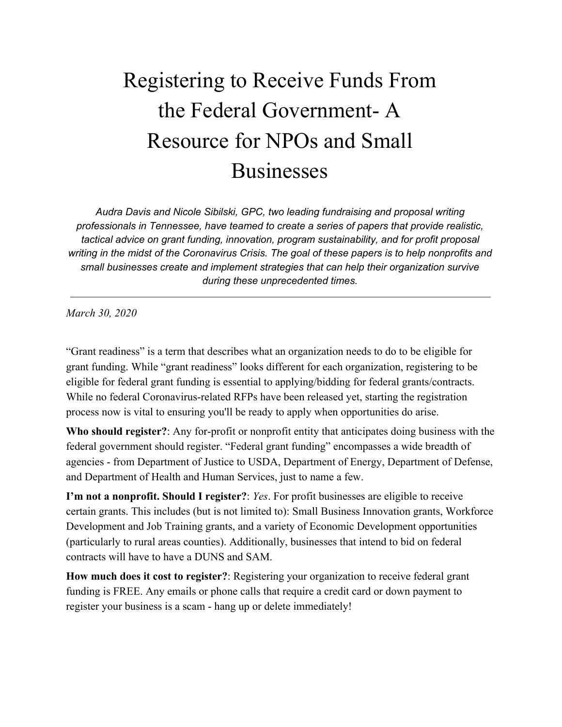## Registering to Receive Funds From the Federal Government- A Resource for NPOs and Small Businesses

*Audra Davis and Nicole Sibilski, GPC, two leading fundraising and proposal writing professionals in Tennessee, have teamed to create a series of papers that provide realistic, tactical advice on grant funding, innovation, program sustainability, and for profit proposal writing in the midst of the Coronavirus Crisis. The goal of these papers is to help nonprofits and small businesses create and implement strategies that can help their organization survive during these unprecedented times.*

*March 30, 2020*

"Grant readiness" is a term that describes what an organization needs to do to be eligible for grant funding. While "grant readiness" looks different for each organization, registering to be eligible for federal grant funding is essential to applying/bidding for federal grants/contracts. While no federal Coronavirus-related RFPs have been released yet, starting the registration process now is vital to ensuring you'll be ready to apply when opportunities do arise.

**Who should register?**: Any for-profit or nonprofit entity that anticipates doing business with the federal government should register. "Federal grant funding" encompasses a wide breadth of agencies - from Department of Justice to USDA, Department of Energy, Department of Defense, and Department of Health and Human Services, just to name a few.

**I'm not a nonprofit. Should I register?**: *Yes*. For profit businesses are eligible to receive certain grants. This includes (but is not limited to): Small Business Innovation grants, Workforce Development and Job Training grants, and a variety of Economic Development opportunities (particularly to rural areas counties). Additionally, businesses that intend to bid on federal contracts will have to have a DUNS and SAM.

**How much does it cost to register?**: Registering your organization to receive federal grant funding is FREE. Any emails or phone calls that require a credit card or down payment to register your business is a scam - hang up or delete immediately!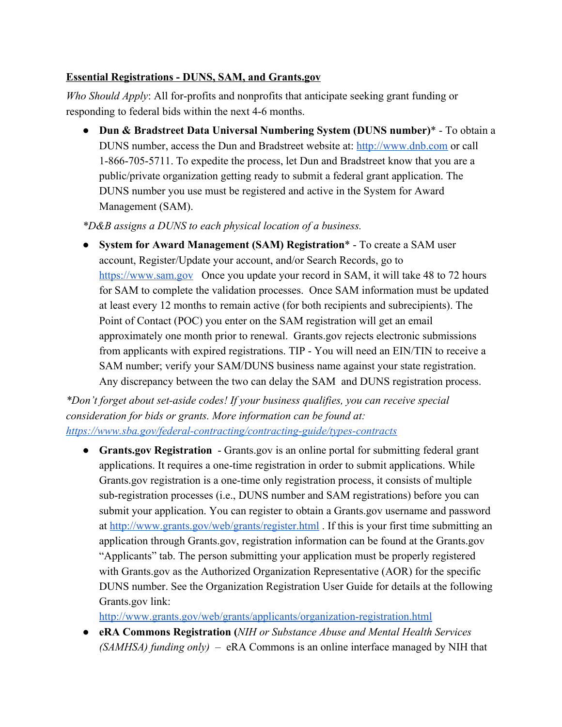## **Essential Registrations - DUNS, SAM, and Grants.gov**

*Who Should Apply*: All for-profits and nonprofits that anticipate seeking grant funding or responding to federal bids within the next 4-6 months.

● **Dun & Bradstreet Data Universal Numbering System (DUNS number)**\* - To obtain a DUNS number, access the Dun and Bradstreet website at: [http://www.dnb.com](http://www.dnb.com/) or call 1-866-705-5711. To expedite the process, let Dun and Bradstreet know that you are a public/private organization getting ready to submit a federal grant application. The DUNS number you use must be registered and active in the System for Award Management (SAM).

*\*D&B assigns a DUNS to each physical location of a business.*

● **System for Award Management (SAM) Registration**\* - To create a SAM user account, Register/Update your account, and/or Search Records, go to [https://www.sam.gov](https://www.sam.gov/) Once you update your record in SAM, it will take 48 to 72 hours for SAM to complete the validation processes. Once SAM information must be updated at least every 12 months to remain active (for both recipients and subrecipients). The Point of Contact (POC) you enter on the SAM registration will get an email approximately one month prior to renewal. Grants.gov rejects electronic submissions from applicants with expired registrations. TIP - You will need an EIN/TIN to receive a SAM number; verify your SAM/DUNS business name against your state registration. Any discrepancy between the two can delay the SAM and DUNS registration process.

*\*Don't forget about set-aside codes! If your business qualifies, you can receive special consideration for bids or grants. More information can be found at: <https://www.sba.gov/federal-contracting/contracting-guide/types-contracts>*

● **Grants.gov Registration** - Grants.gov is an online portal for submitting federal grant applications. It requires a one-time registration in order to submit applications. While Grants.gov registration is a one-time only registration process, it consists of multiple sub-registration processes (i.e., DUNS number and SAM registrations) before you can submit your application. You can register to obtain a Grants.gov username and password at <http://www.grants.gov/web/grants/register.html>. If this is your first time submitting an application through Grants.gov, registration information can be found at the Grants.gov "Applicants" tab. The person submitting your application must be properly registered with Grants.gov as the Authorized Organization Representative (AOR) for the specific DUNS number. See the Organization Registration User Guide for details at the following Grants.gov link:

<http://www.grants.gov/web/grants/applicants/organization-registration.html>

● **eRA Commons Registration (***NIH or Substance Abuse and Mental Health Services (SAMHSA) funding only)* – eRA Commons is an online interface managed by NIH that